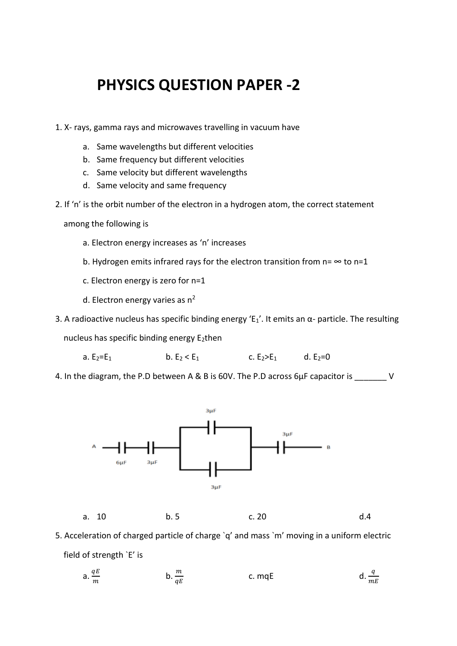## **PHYSICS QUESTION PAPER -2**

- 1. X- rays, gamma rays and microwaves travelling in vacuum have
	- a. Same wavelengths but different velocities
	- b. Same frequency but different velocities
	- c. Same velocity but different wavelengths
	- d. Same velocity and same frequency
- 2. If 'n' is the orbit number of the electron in a hydrogen atom, the correct statement

among the following is

- a. Electron energy increases as 'n' increases
- b. Hydrogen emits infrared rays for the electron transition from  $n = \infty$  to  $n=1$
- c. Electron energy is zero for n=1
- d. Electron energy varies as  $n^2$
- 3. A radioactive nucleus has specific binding energy 'E<sub>1</sub>'. It emits an  $\alpha$  particle. The resulting

nucleus has specific binding energy E<sub>2</sub>then

- a.  $E_2=E_1$  b.  $E_2 < E_1$  c.  $E_2>E_1$  d.  $E_2=0$
- 4. In the diagram, the P.D between A & B is 60V. The P.D across 6µF capacitor is \_\_\_\_\_\_\_ V



5. Acceleration of charged particle of charge `q' and mass `m' moving in a uniform electric field of strength `E' is

a. 
$$
\frac{qE}{m}
$$
 \t\t b.  $\frac{m}{qE}$  \t\t c.  $mqE$  \t\t d.  $\frac{q}{mE}$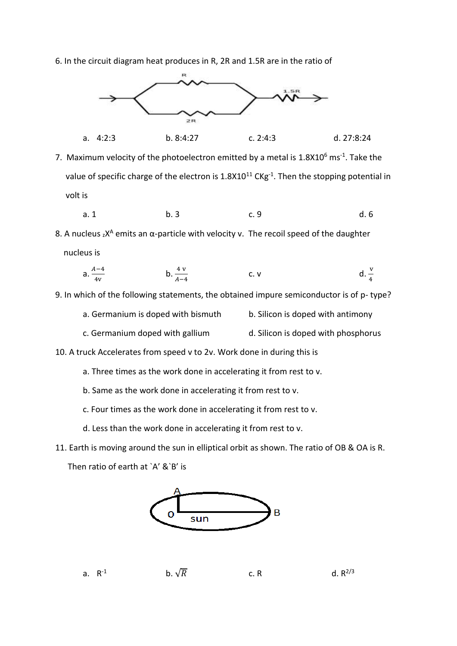6. In the circuit diagram heat produces in R, 2R and 1.5R are in the ratio of



- 7. Maximum velocity of the photoelectron emitted by a metal is  $1.8$ X $10<sup>6</sup>$  ms<sup>-1</sup>. Take the value of specific charge of the electron is  $1.8X10^{11}$  CKg<sup>-1</sup>. Then the stopping potential in volt is
	- a. 1 b. 3 c. 9 d. 6

8. A nucleus  ${}_{z}X^{A}$  emits an  $\alpha$ -particle with velocity v. The recoil speed of the daughter nucleus is

a. 
$$
\frac{A-4}{4v}
$$
 \t\t b.  $\frac{4v}{A-4}$  \t\t c. v \t\t d.  $\frac{v}{4}$ 

9. In which of the following statements, the obtained impure semiconductor is of p- type?

- a. Germanium is doped with bismuth b. Silicon is doped with antimony
- c. Germanium doped with gallium d. Silicon is doped with phosphorus

10. A truck Accelerates from speed v to 2v. Work done in during this is

- a. Three times as the work done in accelerating it from rest to v.
- b. Same as the work done in accelerating it from rest to v.
- c. Four times as the work done in accelerating it from rest to v.
- d. Less than the work done in accelerating it from rest to v.
- 11. Earth is moving around the sun in elliptical orbit as shown. The ratio of OB & OA is R.

Then ratio of earth at `A' &`B' is

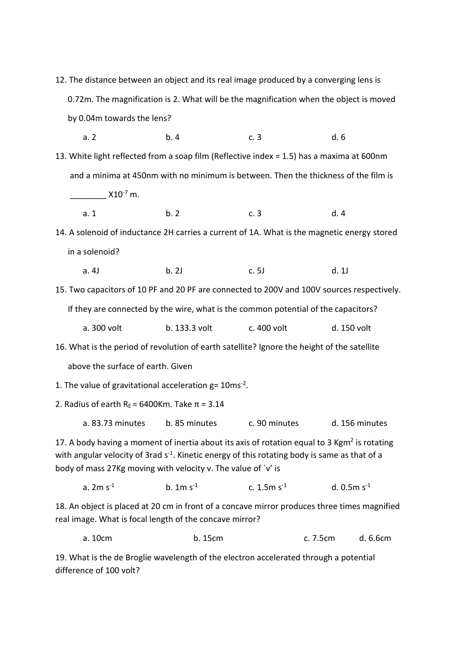0.72m. The magnification is 2. What will be the magnification when the object is moved by 0.04m towards the lens? a. 2 b. 4 c. 3 d. 6 13. White light reflected from a soap film (Reflective index = 1.5) has a maxima at 600nm and a minima at 450nm with no minimum is between. Then the thickness of the film is  $\frac{1}{2}$  X10<sup>-7</sup> m. a. 1 b. 2 c. 3 d. 4 14. A solenoid of inductance 2H carries a current of 1A. What is the magnetic energy stored in a solenoid? a. 4J b. 2J c. 5J d. 1J 15. Two capacitors of 10 PF and 20 PF are connected to 200V and 100V sources respectively. If they are connected by the wire, what is the common potential of the capacitors? a. 300 volt b. 133.3 volt c. 400 volt d. 150 volt 16. What is the period of revolution of earth satellite? Ignore the height of the satellite above the surface of earth. Given 1. The value of gravitational acceleration  $g = 10$ ms<sup>-2</sup>. 2. Radius of earth R<sub>E</sub> = 6400Km. Take  $\pi$  = 3.14 a. 83.73 minutes b. 85 minutes c. 90 minutes d. 156 minutes 17. A body having a moment of inertia about its axis of rotation equal to 3 Kgm<sup>2</sup> is rotating with angular velocity of 3rad  $s<sup>-1</sup>$ . Kinetic energy of this rotating body is same as that of a body of mass 27Kg moving with velocity v. The value of `v' is a.  $2m s<sup>-1</sup>$  $-1$  b. 1m s<sup>-1</sup> c.  $1.5m s^{-1}$  $d. 0.5m s^{-1}$ 18. An object is placed at 20 cm in front of a concave mirror produces three times magnified real image. What is focal length of the concave mirror? a. 10cm b. 15cm c. 7.5cm d. 6.6cm 19. What is the de Broglie wavelength of the electron accelerated through a potential

difference of 100 volt?

12. The distance between an object and its real image produced by a converging lens is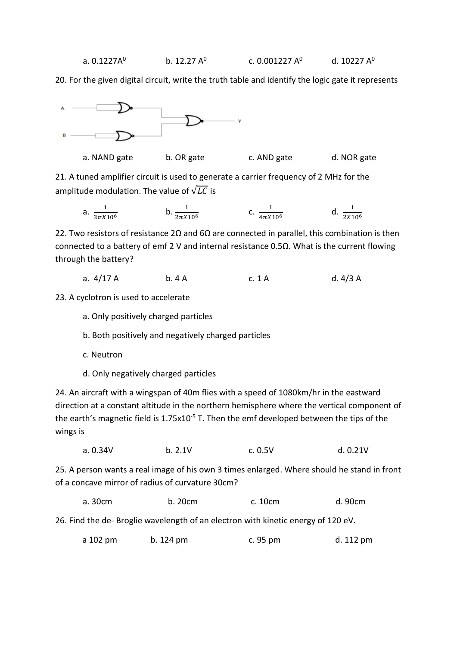20. For the given digital circuit, write the truth table and identify the logic gate it represents



a. NAND gate b. OR gate c. AND gate d. NOR gate

21. A tuned amplifier circuit is used to generate a carrier frequency of 2 MHz for the amplitude modulation. The value of  $\sqrt{LC}$  is

a.  $\frac{1}{2\pi r}$  $3\pi X$ 10<sup>6</sup> b.  $\frac{1}{2\pi X 10^6}$  c.  $\frac{1}{4\pi X}$  $4\pi X 10^6$ d.  $\frac{1}{2^{1/4}}$  $2X10^6$ 

22. Two resistors of resistance 2Ω and 6Ω are connected in parallel, this combination is then connected to a battery of emf 2 V and internal resistance 0.5Ω. What is the current flowing through the battery?

a. 4/17 A b. 4 A c. 1 A d. 4/3 A

23. A cyclotron is used to accelerate

- a. Only positively charged particles
- b. Both positively and negatively charged particles
- c. Neutron
- d. Only negatively charged particles

24. An aircraft with a wingspan of 40m flies with a speed of 1080km/hr in the eastward direction at a constant altitude in the northern hemisphere where the vertical component of the earth's magnetic field is 1.75x10<sup>-5</sup> T. Then the emf developed between the tips of the wings is

| b. 2.1V<br>a. 0.34V | c. 0.5V | d. 0.21V |
|---------------------|---------|----------|
|---------------------|---------|----------|

25. A person wants a real image of his own 3 times enlarged. Where should he stand in front of a concave mirror of radius of curvature 30cm?

| a. 30cm | b. 20cm | c. 10cm | d. 90cm |
|---------|---------|---------|---------|
|---------|---------|---------|---------|

26. Find the de- Broglie wavelength of an electron with kinetic energy of 120 eV.

|  | a 102 pm | b. 124 pm | c. 95 pm | d. 112 pm |
|--|----------|-----------|----------|-----------|
|--|----------|-----------|----------|-----------|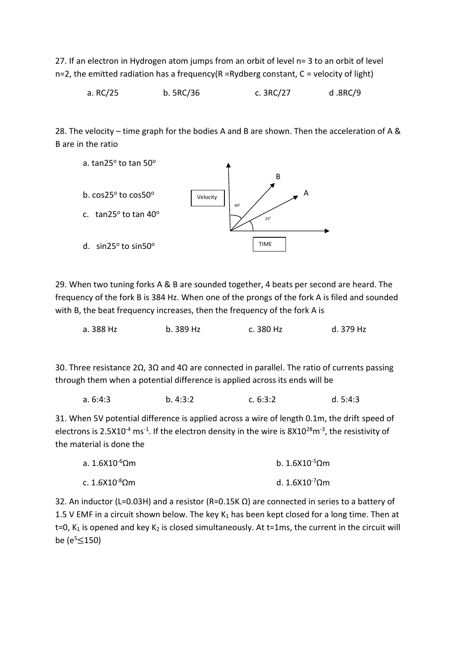27. If an electron in Hydrogen atom jumps from an orbit of level n= 3 to an orbit of level  $n=2$ , the emitted radiation has a frequency(R =Rydberg constant, C = velocity of light)

a. RC/25 b. 5RC/36 c. 3RC/27 d .8RC/9

28. The velocity – time graph for the bodies A and B are shown. Then the acceleration of A & B are in the ratio



29. When two tuning forks A & B are sounded together, 4 beats per second are heard. The frequency of the fork B is 384 Hz. When one of the prongs of the fork A is filed and sounded with B, the beat frequency increases, then the frequency of the fork A is

| b. 389 Hz<br>c. 380 Hz<br>a. 388 Hz | d. 379 Hz |
|-------------------------------------|-----------|
|-------------------------------------|-----------|

30. Three resistance 2Ω, 3Ω and 4Ω are connected in parallel. The ratio of currents passing through them when a potential difference is applied across its ends will be

| b. 4:3:2<br>a. 6:4:3<br>c. 6:3:2 |  |  |  | d. 5:4:3 |
|----------------------------------|--|--|--|----------|
|----------------------------------|--|--|--|----------|

31. When 5V potential difference is applied across a wire of length 0.1m, the drift speed of electrons is 2.5X10<sup>-4</sup> ms<sup>-1</sup>. If the electron density in the wire is  $8X10^{28}$ m<sup>-3</sup>, the resistivity of the material is done the

| a. $1.6$ X10 <sup>-6</sup> Ωm | $b. 1.6X10^{-5}$ Ωm                |
|-------------------------------|------------------------------------|
| c. $1.6X10^{-8}$ Ωm           | d. 1.6X10 <sup>-7</sup> $\Omega$ m |

32. An inductor (L=0.03H) and a resistor (R=0.15K  $\Omega$ ) are connected in series to a battery of 1.5 V EMF in a circuit shown below. The key  $K_1$  has been kept closed for a long time. Then at  $t=0$ , K<sub>1</sub> is opened and key K<sub>2</sub> is closed simultaneously. At  $t=1$ ms, the current in the circuit will be ( $e^5 \le 150$ )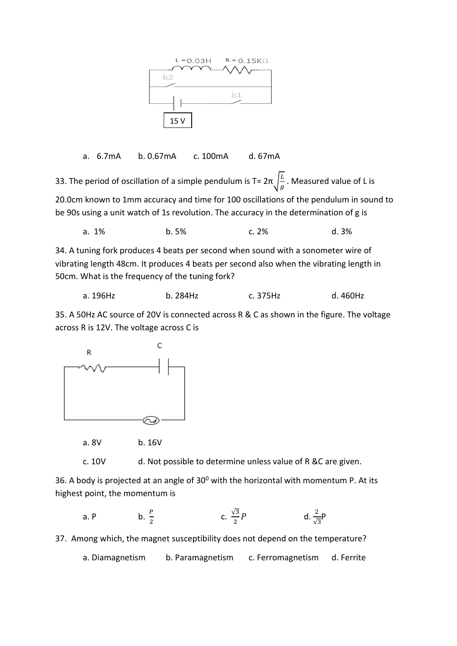

a. 6.7mA b. 0.67mA c. 100mA d. 67mA

33. The period of oscillation of a simple pendulum is T=  $2\pi\sqrt{\frac{L}{a}}$  $\frac{2}{g}$ . Measured value of L is 20.0cm known to 1mm accuracy and time for 100 oscillations of the pendulum in sound to be 90s using a unit watch of 1s revolution. The accuracy in the determination of g is

a. 1% b. 5% c. 2% d. 3%

34. A tuning fork produces 4 beats per second when sound with a sonometer wire of vibrating length 48cm. It produces 4 beats per second also when the vibrating length in 50cm. What is the frequency of the tuning fork?

| a. 196Hz | b. 284Hz | c. 375Hz | d. 460Hz |
|----------|----------|----------|----------|
|----------|----------|----------|----------|

35. A 50Hz AC source of 20V is connected across R & C as shown in the figure. The voltage across R is 12V. The voltage across C is



a. 8V b. 16V

c. 10V d. Not possible to determine unless value of R &C are given.

36. A body is projected at an angle of  $30^0$  with the horizontal with momentum P. At its highest point, the momentum is

a. P  
b. 
$$
\frac{P}{2}
$$
  
c.  $\frac{\sqrt{3}}{2}P$   
d.  $\frac{2}{\sqrt{3}}P$ 

37. Among which, the magnet susceptibility does not depend on the temperature?

a. Diamagnetism b. Paramagnetism c. Ferromagnetism d. Ferrite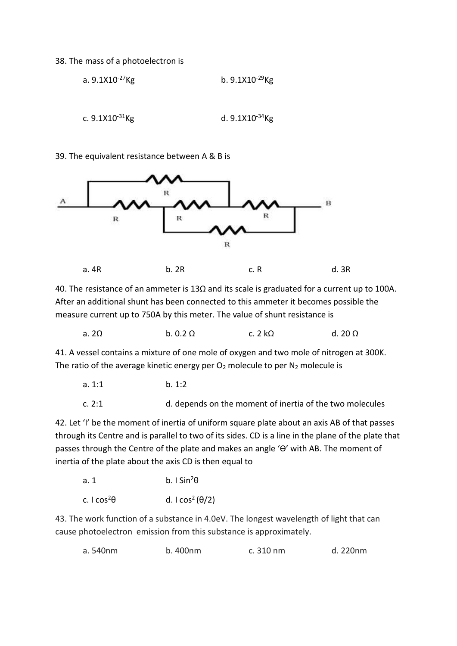## 38. The mass of a photoelectron is

a. 
$$
9.1X10^{-27}Kg
$$
  
b.  $9.1X10^{-29}Kg$   
c.  $9.1X10^{-31}Kg$   
d.  $9.1X10^{-34}Kg$ 

39. The equivalent resistance between A & B is



40. The resistance of an ammeter is 13Ω and its scale is graduated for a current up to 100A. After an additional shunt has been connected to this ammeter it becomes possible the measure current up to 750A by this meter. The value of shunt resistance is

|  | a. 2 $\Omega$ | $b. 0.2 \Omega$ | c. 2 $k\Omega$ | d. 20 $\Omega$ |
|--|---------------|-----------------|----------------|----------------|
|--|---------------|-----------------|----------------|----------------|

41. A vessel contains a mixture of one mole of oxygen and two mole of nitrogen at 300K. The ratio of the average kinetic energy per  $O_2$  molecule to per  $N_2$  molecule is

| a. 1:1 | b. 1:2                                                   |
|--------|----------------------------------------------------------|
| c. 2:1 | d. depends on the moment of inertia of the two molecules |

42. Let 'I' be the moment of inertia of uniform square plate about an axis AB of that passes through its Centre and is parallel to two of its sides. CD is a line in the plane of the plate that passes through the Centre of the plate and makes an angle 'Ө' with AB. The moment of inertia of the plate about the axis CD is then equal to

| a. 1                           | b. I Sin <sup>2</sup> $\theta$       |
|--------------------------------|--------------------------------------|
| c. I cos <sup>2</sup> $\theta$ | d. I cos <sup>2</sup> ( $\theta$ /2) |

43. The work function of a substance in 4.0eV. The longest wavelength of light that can cause photoelectron emission from this substance is approximately.

| b. 400nm<br>a. 540nm | c. 310 nm | d. 220nm |
|----------------------|-----------|----------|
|----------------------|-----------|----------|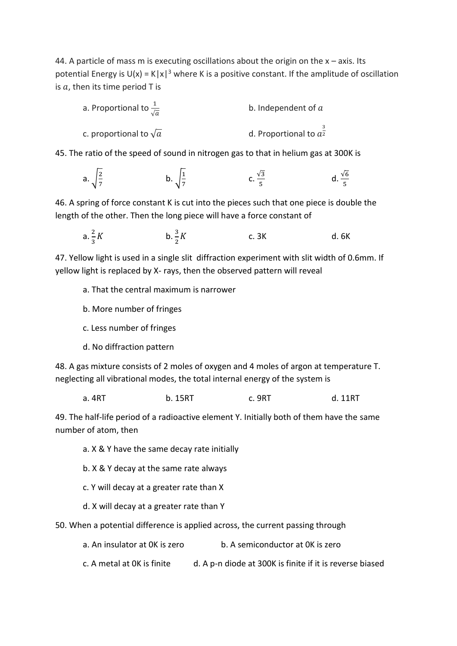44. A particle of mass m is executing oscillations about the origin on the  $x - a$ xis. Its potential Energy is  $U(x) = K|x|^3$  where K is a positive constant. If the amplitude of oscillation is  $a$ , then its time period T is

| a. Proportional to $\frac{1}{\sqrt{a}}$ | b. Independent of $a$    |  |  |
|-----------------------------------------|--------------------------|--|--|
| c. proportional to $\sqrt{a}$           | d. Proportional to $a^2$ |  |  |

45. The ratio of the speed of sound in nitrogen gas to that in helium gas at 300K is

a. 
$$
\sqrt{\frac{2}{7}}
$$
 b.  $\sqrt{\frac{1}{7}}$  c.  $\frac{\sqrt{3}}{5}$  d.  $\frac{\sqrt{6}}{5}$ 

46. A spring of force constant K is cut into the pieces such that one piece is double the length of the other. Then the long piece will have a force constant of

a. 
$$
\frac{2}{3}K
$$
 b.  $\frac{3}{2}K$  c. 3K d. 6K

47. Yellow light is used in a single slit diffraction experiment with slit width of 0.6mm. If yellow light is replaced by X- rays, then the observed pattern will reveal

a. That the central maximum is narrower

- b. More number of fringes
- c. Less number of fringes

d. No diffraction pattern

48. A gas mixture consists of 2 moles of oxygen and 4 moles of argon at temperature T. neglecting all vibrational modes, the total internal energy of the system is

a. 4RT b. 15RT c. 9RT d. 11RT

49. The half-life period of a radioactive element Y. Initially both of them have the same number of atom, then

- a. X & Y have the same decay rate initially
- b. X & Y decay at the same rate always
- c. Y will decay at a greater rate than X
- d. X will decay at a greater rate than Y

50. When a potential difference is applied across, the current passing through

- a. An insulator at 0K is zero b. A semiconductor at 0K is zero
- c. A metal at  $0$ K is finite d. A p-n diode at 300K is finite if it is reverse biased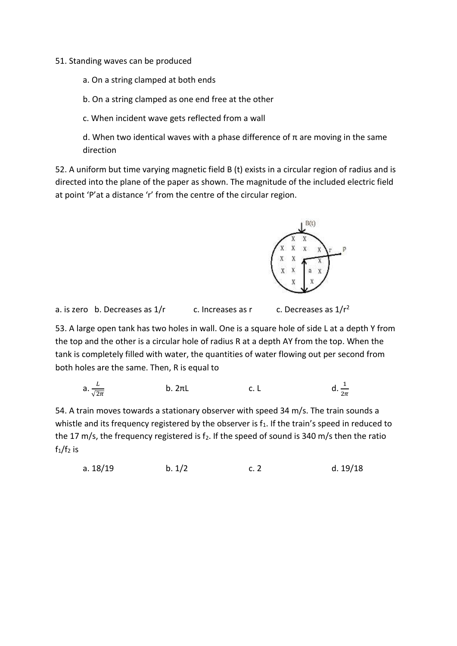## 51. Standing waves can be produced

a. On a string clamped at both ends

b. On a string clamped as one end free at the other

c. When incident wave gets reflected from a wall

d. When two identical waves with a phase difference of  $\pi$  are moving in the same direction

52. A uniform but time varying magnetic field B (t) exists in a circular region of radius and is directed into the plane of the paper as shown. The magnitude of the included electric field at point 'P'at a distance 'r' from the centre of the circular region.



a. is zero b. Decreases as  $1/r$  c. Increases as r c. Decreases as  $1/r^2$ 

53. A large open tank has two holes in wall. One is a square hole of side L at a depth Y from the top and the other is a circular hole of radius R at a depth AY from the top. When the tank is completely filled with water, the quantities of water flowing out per second from both holes are the same. Then, R is equal to

a. 
$$
\frac{L}{\sqrt{2\pi}}
$$
 b. 2 $\pi$ L c. L d.  $\frac{1}{2\pi}$ 

54. A train moves towards a stationary observer with speed 34 m/s. The train sounds a whistle and its frequency registered by the observer is  $f_1$ . If the train's speed in reduced to the 17 m/s, the frequency registered is  $f_2$ . If the speed of sound is 340 m/s then the ratio  $f_1/f_2$  is

a. 
$$
18/19
$$
 b.  $1/2$  c. 2 d.  $19/18$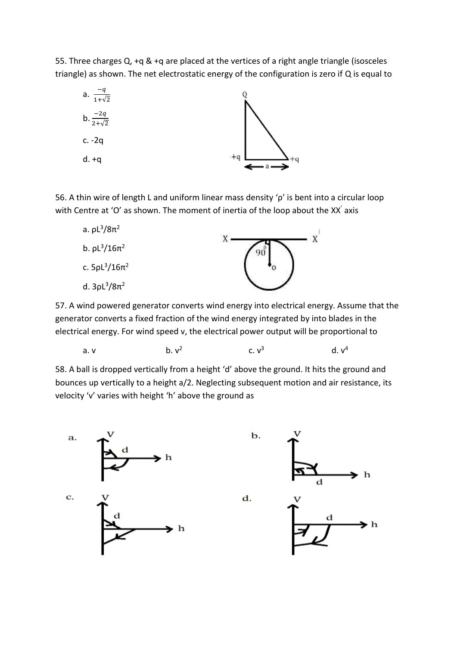55. Three charges Q, +q & +q are placed at the vertices of a right angle triangle (isosceles triangle) as shown. The net electrostatic energy of the configuration is zero if Q is equal to



56. A thin wire of length L and uniform linear mass density 'ρ' is bent into a circular loop with Centre at 'O' as shown. The moment of inertia of the loop about the XX' axis



57. A wind powered generator converts wind energy into electrical energy. Assume that the generator converts a fixed fraction of the wind energy integrated by into blades in the electrical energy. For wind speed v, the electrical power output will be proportional to

a. v  
b. 
$$
v^2
$$
 c.  $v^3$  d.  $v^4$ 

58. A ball is dropped vertically from a height 'd' above the ground. It hits the ground and bounces up vertically to a height a/2. Neglecting subsequent motion and air resistance, its velocity 'v' varies with height 'h' above the ground as

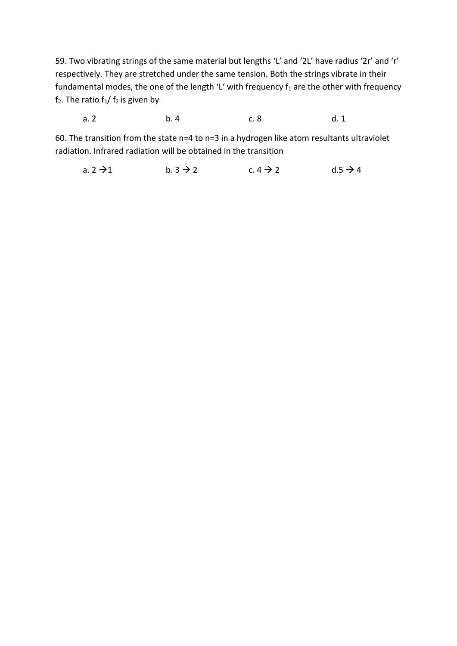59. Two vibrating strings of the same material but lengths 'L' and '2L' have radius '2r' and 'r' respectively. They are stretched under the same tension. Both the strings vibrate in their fundamental modes, the one of the length 'L' with frequency  $f_1$  are the other with frequency  $f_2$ . The ratio  $f_1/f_2$  is given by

a. 2 b. 4 c. 8 d. 1

60. The transition from the state n=4 to n=3 in a hydrogen like atom resultants ultraviolet radiation. Infrared radiation will be obtained in the transition

a.  $2 \rightarrow 1$  b.  $3 \rightarrow 2$  c.  $4 \rightarrow 2$  d.5  $\rightarrow 4$